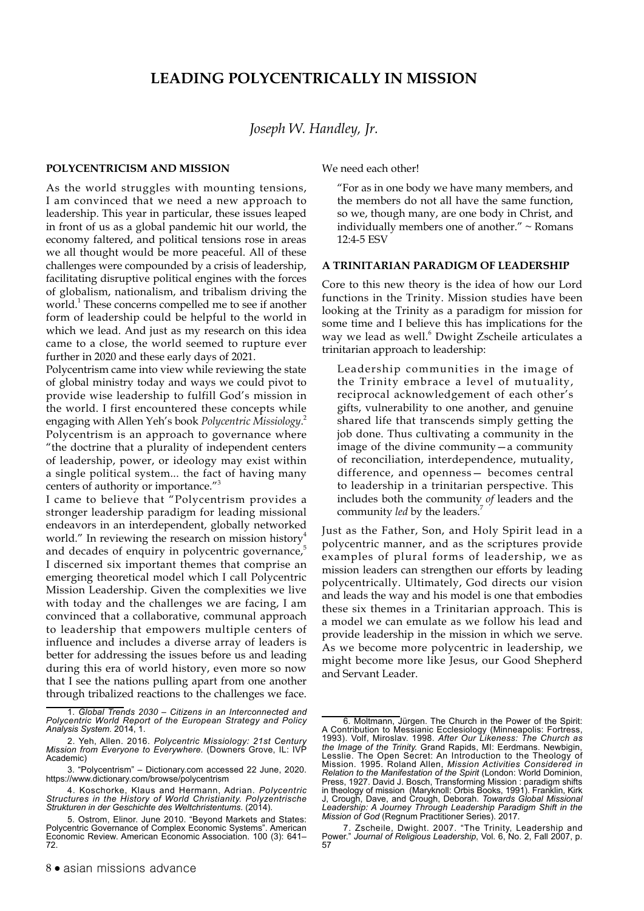# **LEADING POLYCENTRICALLY IN MISSION**

# *Joseph W. Handley, Jr.*

#### **POLYCENTRICISM AND MISSION**

As the world struggles with mounting tensions, I am convinced that we need a new approach to leadership. This year in particular, these issues leaped in front of us as a global pandemic hit our world, the economy faltered, and political tensions rose in areas we all thought would be more peaceful. All of these challenges were compounded by a crisis of leadership, facilitating disruptive political engines with the forces of globalism, nationalism, and tribalism driving the world.<sup>1</sup> These concerns compelled me to see if another form of leadership could be helpful to the world in which we lead. And just as my research on this idea came to a close, the world seemed to rupture ever further in 2020 and these early days of 2021.

Polycentrism came into view while reviewing the state of global ministry today and ways we could pivot to provide wise leadership to fulfill God's mission in the world. I first encountered these concepts while engaging with Allen Yeh's book *Polycentric Missiology*. 2 Polycentrism is an approach to governance where "the doctrine that a plurality of independent centers of leadership, power, or ideology may exist within a single political system... the fact of having many centers of authority or importance."3

I came to believe that "Polycentrism provides a stronger leadership paradigm for leading missional endeavors in an interdependent, globally networked world." In reviewing the research on mission history<sup>4</sup> and decades of enquiry in polycentric governance,<sup>5</sup> I discerned six important themes that comprise an emerging theoretical model which I call Polycentric Mission Leadership. Given the complexities we live with today and the challenges we are facing, I am convinced that a collaborative, communal approach to leadership that empowers multiple centers of influence and includes a diverse array of leaders is better for addressing the issues before us and leading during this era of world history, even more so now that I see the nations pulling apart from one another through tribalized reactions to the challenges we face.

We need each other!

"For as in one body we have many members, and the members do not all have the same function, so we, though many, are one body in Christ, and individually members one of another." ~ Romans 12:4-5 ESV

#### **A TRINITARIAN PARADIGM OF LEADERSHIP**

Core to this new theory is the idea of how our Lord functions in the Trinity. Mission studies have been looking at the Trinity as a paradigm for mission for some time and I believe this has implications for the way we lead as well.<sup>6</sup> Dwight Zscheile articulates a trinitarian approach to leadership:

Leadership communities in the image of the Trinity embrace a level of mutuality, reciprocal acknowledgement of each other's gifts, vulnerability to one another, and genuine shared life that transcends simply getting the job done. Thus cultivating a community in the image of the divine community—a community of reconciliation, interdependence, mutuality, difference, and openness— becomes central to leadership in a trinitarian perspective. This includes both the community *of* leaders and the community *led* by the leaders.<sup>7</sup>

Just as the Father, Son, and Holy Spirit lead in a polycentric manner, and as the scriptures provide examples of plural forms of leadership, we as mission leaders can strengthen our efforts by leading polycentrically. Ultimately, God directs our vision and leads the way and his model is one that embodies these six themes in a Trinitarian approach. This is a model we can emulate as we follow his lead and provide leadership in the mission in which we serve. As we become more polycentric in leadership, we might become more like Jesus, our Good Shepherd and Servant Leader.

<sup>1.</sup> *Global Trends 2030 – Citizens in an Interconnected and Polycentric World Report of the European Strategy and Policy Analysis System.* 2014, 1.

<sup>2.</sup> Yeh, Allen. 2016. *Polycentric Missiology: 21st Century Mission from Everyone to Everywhere.* (Downers Grove, IL: IVP Academic)

<sup>3. &</sup>quot;Polycentrism" – Dictionary.com accessed 22 June, 2020. <https://www.dictionary.com/browse/polycentrism>

<sup>4.</sup> Koschorke, Klaus and Hermann, Adrian. *Polycentric Structures in the History of World Christianity. Polyzentrische Strukturen in der Geschichte des Weltchristentums*. (2014).

<sup>5.</sup> Ostrom, Elinor. June 2010. ["Beyond Markets and States:](http://dx.doi.org/10.1257/aer.100.3.641) [Polycentric Governance of Complex Economic Systems"](http://dx.doi.org/10.1257/aer.100.3.641). American Economic Review. American Economic Association. 100 (3): 641– 72.

<sup>6.</sup> Moltmann, Jürgen. The Church in the Power of the Spirit: A Contribution to Messianic Ecclesiology (Minneapolis: Fortress, 1993). Volf, Miroslav. 1998. *After Our Likeness: The Church as the Image of the Trinity.* Grand Rapids, MI: Eerdmans. Newbigin, Lesslie. The Open Secret: An Introduction to the Theology of Mission. 1995. Roland Allen, *Mission Activities Considered in Relation to the Manifestation of the Spirit* (London: World Dominion, Press, 1927. David J. Bosch, Transforming Mission : paradigm shifts in theology of mission (Maryknoll: Orbis Books, 1991). Franklin, Kirk J, Crough, Dave, and Crough, Deborah. *Towards Global Missional Leadership: A Journey Through Leadership Paradigm Shift in the Mission of God* (Regnum Practitioner Series). 2017.

<sup>7.</sup> Zscheile, Dwight. 2007. "The Trinity, Leadership and Power." *Journal of Religious Leadership*, Vol. 6, No. 2, Fall 2007, p. 57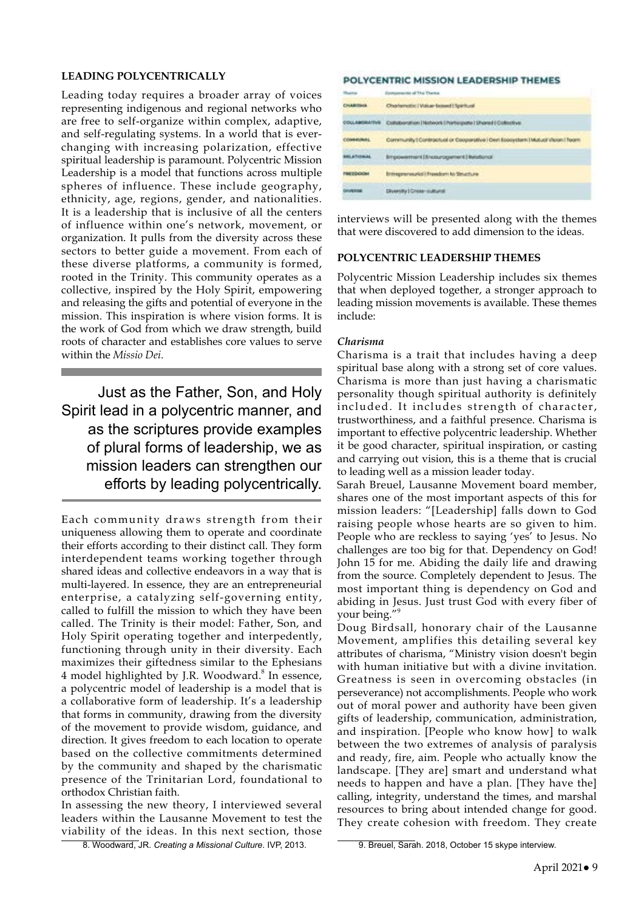## **LEADING POLYCENTRICALLY**

Leading today requires a broader array of voices representing indigenous and regional networks who are free to self-organize within complex, adaptive, and self-regulating systems. In a world that is everchanging with increasing polarization, effective spiritual leadership is paramount. Polycentric Mission Leadership is a model that functions across multiple spheres of influence. These include geography, ethnicity, age, regions, gender, and nationalities. It is a leadership that is inclusive of all the centers of influence within one's network, movement, or organization. It pulls from the diversity across these sectors to better guide a movement. From each of these diverse platforms, a community is formed, rooted in the Trinity. This community operates as a collective, inspired by the Holy Spirit, empowering and releasing the gifts and potential of everyone in the mission. This inspiration is where vision forms. It is the work of God from which we draw strength, build roots of character and establishes core values to serve within the *Missio Dei*.

Just as the Father, Son, and Holy Spirit lead in a polycentric manner, and as the scriptures provide examples of plural forms of leadership, we as mission leaders can strengthen our efforts by leading polycentrically.

Each community draws strength from their uniqueness allowing them to operate and coordinate their efforts according to their distinct call. They form interdependent teams working together through shared ideas and collective endeavors in a way that is multi-layered. In essence, they are an entrepreneurial enterprise, a catalyzing self-governing entity, called to fulfill the mission to which they have been called. The Trinity is their model: Father, Son, and Holy Spirit operating together and interpedently, functioning through unity in their diversity. Each maximizes their giftedness similar to the Ephesians 4 model highlighted by J.R. Woodward.<sup>8</sup> In essence, a polycentric model of leadership is a model that is a collaborative form of leadership. It's a leadership that forms in community, drawing from the diversity of the movement to provide wisdom, guidance, and direction. It gives freedom to each location to operate based on the collective commitments determined by the community and shaped by the charismatic presence of the Trinitarian Lord, foundational to orthodox Christian faith.

In assessing the new theory, I interviewed several leaders within the Lausanne Movement to test the viability of the ideas. In this next section, those

8. Woodward, JR. *Creating a Missional Culture*. IVP, 2013.

CHARTERS

| <b>COLLABORATIVE</b>   | Collectoration   Natwork   Portugate   Shared   Collective                    |
|------------------------|-------------------------------------------------------------------------------|
| COMMUNIAL              | Community   Contractual or Cooperative   Own Ecosystem   Mutual Vision   Ream |
|                        | Impovement (illnoturagement ) leads not                                       |
| <b><i>FREEDOOM</i></b> | <b>Entrepreneurici i Freedom to Structure</b>                                 |
| <b>DIVISION</b>        | Diversity   Cross-mathematic                                                  |

POLYCENTRIC MISSION LEADERSHIP THEMES

Charlematic | Value-based | Spiritual

interviews will be presented along with the themes that were discovered to add dimension to the ideas.

# **POLYCENTRIC LEADERSHIP THEMES**

Polycentric Mission Leadership includes six themes that when deployed together, a stronger approach to leading mission movements is available. These themes include:

#### *Charisma*

Charisma is a trait that includes having a deep spiritual base along with a strong set of core values. Charisma is more than just having a charismatic personality though spiritual authority is definitely included. It includes strength of character, trustworthiness, and a faithful presence. Charisma is important to effective polycentric leadership. Whether it be good character, spiritual inspiration, or casting and carrying out vision, this is a theme that is crucial to leading well as a mission leader today.

Sarah Breuel, Lausanne Movement board member, shares one of the most important aspects of this for mission leaders: "[Leadership] falls down to God raising people whose hearts are so given to him. People who are reckless to saying 'yes' to Jesus. No challenges are too big for that. Dependency on God! John 15 for me. Abiding the daily life and drawing from the source. Completely dependent to Jesus. The most important thing is dependency on God and abiding in Jesus. Just trust God with every fiber of your being."<sup>9</sup>

Doug Birdsall, honorary chair of the Lausanne Movement, amplifies this detailing several key attributes of charisma, "Ministry vision doesn't begin with human initiative but with a divine invitation. Greatness is seen in overcoming obstacles (in perseverance) not accomplishments. People who work out of moral power and authority have been given gifts of leadership, communication, administration, and inspiration. [People who know how] to walk between the two extremes of analysis of paralysis and ready, fire, aim. People who actually know the landscape. [They are] smart and understand what needs to happen and have a plan. [They have the] calling, integrity, understand the times, and marshal resources to bring about intended change for good. They create cohesion with freedom. They create

<sup>9.</sup> Breuel, Sarah. 2018, October 15 skype interview.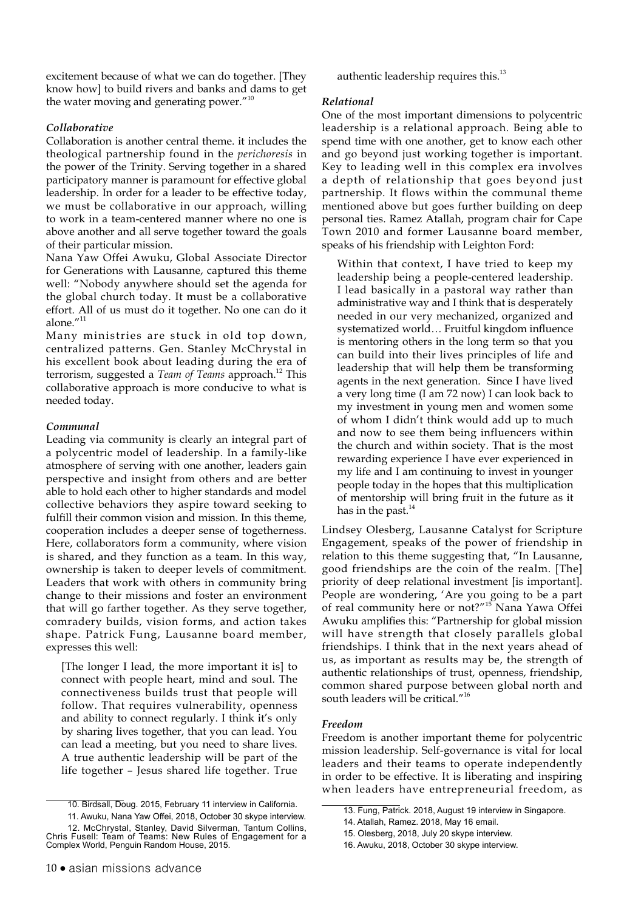excitement because of what we can do together. [They know how] to build rivers and banks and dams to get the water moving and generating power."<sup>10</sup>

## *Collaborative*

Collaboration is another central theme. it includes the theological partnership found in the *perichoresis* in the power of the Trinity. Serving together in a shared participatory manner is paramount for effective global leadership. In order for a leader to be effective today, we must be collaborative in our approach, willing to work in a team-centered manner where no one is above another and all serve together toward the goals of their particular mission.

Nana Yaw Offei Awuku, Global Associate Director for Generations with Lausanne, captured this theme well: "Nobody anywhere should set the agenda for the global church today. It must be a collaborative effort. All of us must do it together. No one can do it alone."<sup>11</sup>

Many ministries are stuck in old top down, centralized patterns. Gen. Stanley McChrystal in his excellent book about leading during the era of terrorism, suggested a *Team of Teams* approach.<sup>12</sup> This collaborative approach is more conducive to what is needed today.

#### *Communal*

Leading via community is clearly an integral part of a polycentric model of leadership. In a family-like atmosphere of serving with one another, leaders gain perspective and insight from others and are better able to hold each other to higher standards and model collective behaviors they aspire toward seeking to fulfill their common vision and mission. In this theme, cooperation includes a deeper sense of togetherness. Here, collaborators form a community, where vision is shared, and they function as a team. In this way, ownership is taken to deeper levels of commitment. Leaders that work with others in community bring change to their missions and foster an environment that will go farther together. As they serve together, comradery builds, vision forms, and action takes shape. Patrick Fung, Lausanne board member, expresses this well:

[The longer I lead, the more important it is] to connect with people heart, mind and soul. The connectiveness builds trust that people will follow. That requires vulnerability, openness and ability to connect regularly. I think it's only by sharing lives together, that you can lead. You can lead a meeting, but you need to share lives. A true authentic leadership will be part of the life together – Jesus shared life together. True authentic leadership requires this.<sup>13</sup>

## *Relational*

One of the most important dimensions to polycentric leadership is a relational approach. Being able to spend time with one another, get to know each other and go beyond just working together is important. Key to leading well in this complex era involves a depth of relationship that goes beyond just partnership. It flows within the communal theme mentioned above but goes further building on deep personal ties. Ramez Atallah, program chair for Cape Town 2010 and former Lausanne board member, speaks of his friendship with Leighton Ford:

Within that context, I have tried to keep my leadership being a people-centered leadership. I lead basically in a pastoral way rather than administrative way and I think that is desperately needed in our very mechanized, organized and systematized world… Fruitful kingdom influence is mentoring others in the long term so that you can build into their lives principles of life and leadership that will help them be transforming agents in the next generation. Since I have lived a very long time (I am 72 now) I can look back to my investment in young men and women some of whom I didn't think would add up to much and now to see them being influencers within the church and within society. That is the most rewarding experience I have ever experienced in my life and I am continuing to invest in younger people today in the hopes that this multiplication of mentorship will bring fruit in the future as it has in the past. $^{14}$ 

Lindsey Olesberg, Lausanne Catalyst for Scripture Engagement, speaks of the power of friendship in relation to this theme suggesting that, "In Lausanne, good friendships are the coin of the realm. [The] priority of deep relational investment [is important]. People are wondering, 'Are you going to be a part of real community here or not?"<sup>15</sup> Nana Yawa Offei Awuku amplifies this: "Partnership for global mission will have strength that closely parallels global friendships. I think that in the next years ahead of us, as important as results may be, the strength of authentic relationships of trust, openness, friendship, common shared purpose between global north and south leaders will be critical."<sup>16</sup>

#### *Freedom*

Freedom is another important theme for polycentric mission leadership. Self-governance is vital for local leaders and their teams to operate independently in order to be effective. It is liberating and inspiring when leaders have entrepreneurial freedom, as

<sup>10.</sup> Birdsall, Doug. 2015, February 11 interview in California.

<sup>11.</sup> Awuku, Nana Yaw Offei, 2018, October 30 skype interview. 12. McChrystal, Stanley, David Silverman, Tantum Collins, Chris Fusell: Team of Teams: New Rules of Engagement for a Complex World, Penguin Random House, 2015.

<sup>13.</sup> Fung, Patrick. 2018, August 19 interview in Singapore.

<sup>14.</sup> Atallah, Ramez. 2018, May 16 email.

<sup>15.</sup> Olesberg, 2018, July 20 skype interview.

<sup>16.</sup> Awuku, 2018, October 30 skype interview.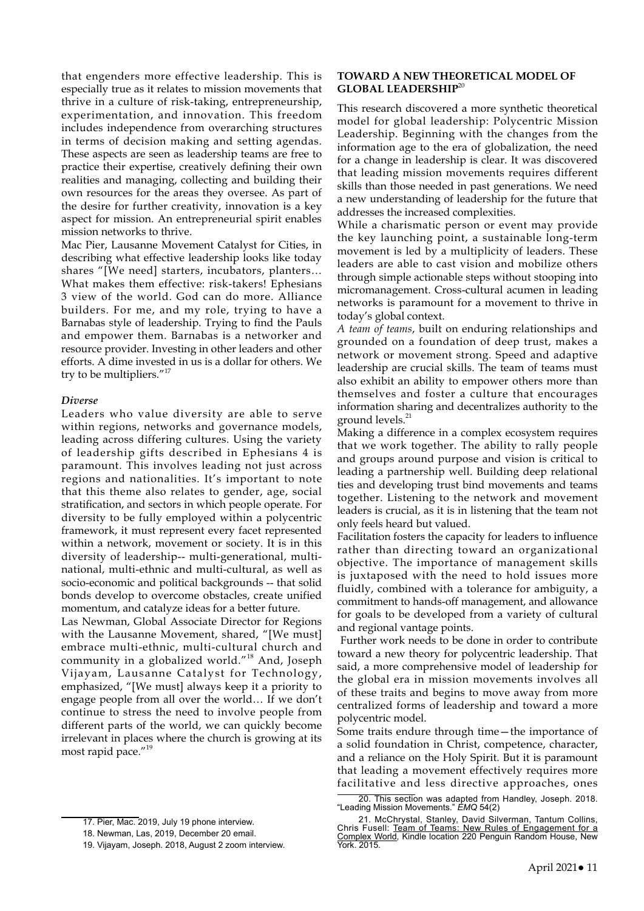that engenders more effective leadership. This is especially true as it relates to mission movements that thrive in a culture of risk-taking, entrepreneurship, experimentation, and innovation. This freedom includes independence from overarching structures in terms of decision making and setting agendas. These aspects are seen as leadership teams are free to practice their expertise, creatively defining their own realities and managing, collecting and building their own resources for the areas they oversee. As part of the desire for further creativity, innovation is a key aspect for mission. An entrepreneurial spirit enables mission networks to thrive.

Mac Pier, Lausanne Movement Catalyst for Cities, in describing what effective leadership looks like today shares "[We need] starters, incubators, planters… What makes them effective: risk-takers! Ephesians 3 view of the world. God can do more. Alliance builders. For me, and my role, trying to have a Barnabas style of leadership. Trying to find the Pauls and empower them. Barnabas is a networker and resource provider. Investing in other leaders and other efforts. A dime invested in us is a dollar for others. We try to be multipliers."<sup>17</sup>

#### *Diverse*

Leaders who value diversity are able to serve within regions, networks and governance models, leading across differing cultures. Using the variety of leadership gifts described in Ephesians 4 is paramount. This involves leading not just across regions and nationalities. It's important to note that this theme also relates to gender, age, social stratification, and sectors in which people operate. For diversity to be fully employed within a polycentric framework, it must represent every facet represented within a network, movement or society. It is in this diversity of leadership-- multi-generational, multinational, multi-ethnic and multi-cultural, as well as socio-economic and political backgrounds -- that solid bonds develop to overcome obstacles, create unified momentum, and catalyze ideas for a better future.

Las Newman, Global Associate Director for Regions with the Lausanne Movement, shared, "[We must] embrace multi-ethnic, multi-cultural church and community in a globalized world."18 And, Joseph Vijayam, Lausanne Catalyst for Technology, emphasized, "[We must] always keep it a priority to engage people from all over the world… If we don't continue to stress the need to involve people from different parts of the world, we can quickly become irrelevant in places where the church is growing at its most rapid pace."<sup>19</sup>

#### 17. Pier, Mac. 2019, July 19 phone interview.

# **TOWARD A NEW THEORETICAL MODEL OF GLOBAL LEADERSHIP**<sup>20</sup>

This research discovered a more synthetic theoretical model for global leadership: Polycentric Mission Leadership. Beginning with the changes from the information age to the era of globalization, the need for a change in leadership is clear. It was discovered that leading mission movements requires different skills than those needed in past generations. We need a new understanding of leadership for the future that addresses the increased complexities.

While a charismatic person or event may provide the key launching point, a sustainable long-term movement is led by a multiplicity of leaders. These leaders are able to cast vision and mobilize others through simple actionable steps without stooping into micromanagement. Cross-cultural acumen in leading networks is paramount for a movement to thrive in today's global context.

*A team of teams*, built on enduring relationships and grounded on a foundation of deep trust, makes a network or movement strong. Speed and adaptive leadership are crucial skills. The team of teams must also exhibit an ability to empower others more than themselves and foster a culture that encourages information sharing and decentralizes authority to the ground levels.<sup>21</sup>

Making a difference in a complex ecosystem requires that we work together. The ability to rally people and groups around purpose and vision is critical to leading a partnership well. Building deep relational ties and developing trust bind movements and teams together. Listening to the network and movement leaders is crucial, as it is in listening that the team not only feels heard but valued.

Facilitation fosters the capacity for leaders to influence rather than directing toward an organizational objective. The importance of management skills is juxtaposed with the need to hold issues more fluidly, combined with a tolerance for ambiguity, a commitment to hands-off management, and allowance for goals to be developed from a variety of cultural and regional vantage points.

 Further work needs to be done in order to contribute toward a new theory for polycentric leadership. That said, a more comprehensive model of leadership for the global era in mission movements involves all of these traits and begins to move away from more centralized forms of leadership and toward a more polycentric model.

Some traits endure through time—the importance of a solid foundation in Christ, competence, character, and a reliance on the Holy Spirit. But it is paramount that leading a movement effectively requires more facilitative and less directive approaches, ones

<sup>18.</sup> Newman, Las, 2019, December 20 email.

<sup>19.</sup> Vijayam, Joseph. 2018, August 2 zoom interview.

<sup>20.</sup> This section was adapted from Handley, Joseph. 2018. "Leading Mission Movements." *EMQ* 54(2)

<sup>21.</sup> McChrystal, Stanley, David Silverman, Tantum Collins, Chris Fusell: Team of Teams: New Rules of Engagement for a Complex World, Kindle location 220 Penguin Random House, New York. 2015.